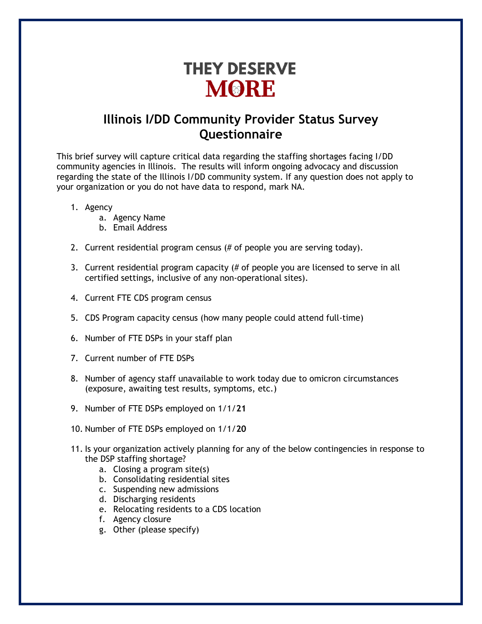# **THEY DESERVE MORE**

### **Illinois I/DD Community Provider Status Survey Questionnaire**

This brief survey will capture critical data regarding the staffing shortages facing I/DD community agencies in Illinois. The results will inform ongoing advocacy and discussion regarding the state of the Illinois I/DD community system. If any question does not apply to your organization or you do not have data to respond, mark NA.

- 1. Agency
	- a. Agency Name
	- b. Email Address
- 2. Current residential program census (# of people you are serving today).
- 3. Current residential program capacity (# of people you are licensed to serve in all certified settings, inclusive of any non-operational sites).
- 4. Current FTE CDS program census
- 5. CDS Program capacity census (how many people could attend full-time)
- 6. Number of FTE DSPs in your staff plan
- 7. Current number of FTE DSPs
- 8. Number of agency staff unavailable to work today due to omicron circumstances (exposure, awaiting test results, symptoms, etc.)
- 9. Number of FTE DSPs employed on 1/1/**21**
- 10. Number of FTE DSPs employed on 1/1/**20**
- 11. Is your organization actively planning for any of the below contingencies in response to the DSP staffing shortage?
	- a. Closing a program site(s)
	- b. Consolidating residential sites
	- c. Suspending new admissions
	- d. Discharging residents
	- e. Relocating residents to a CDS location
	- f. Agency closure
	- g. Other (please specify)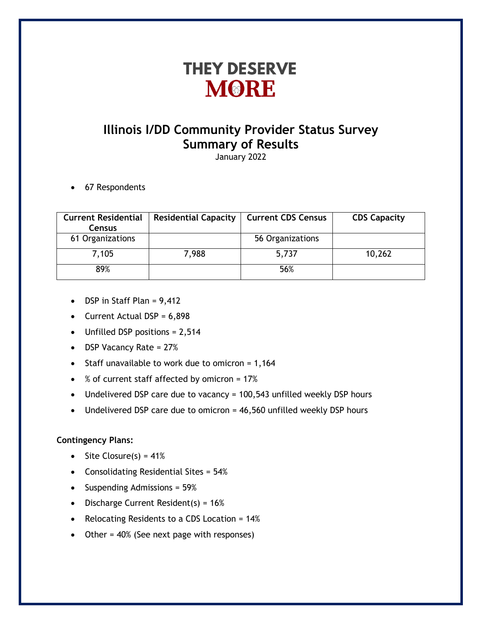## **THEY DESERVE MORE**

## **Illinois I/DD Community Provider Status Survey Summary of Results**

January 2022

• 67 Respondents

| <b>Current Residential</b><br><b>Census</b> | <b>Residential Capacity</b> | <b>Current CDS Census</b> | <b>CDS Capacity</b> |
|---------------------------------------------|-----------------------------|---------------------------|---------------------|
| 61 Organizations                            |                             | 56 Organizations          |                     |
| 7,105                                       | 7,988                       | 5,737                     | 10,262              |
| 89%                                         |                             | 56%                       |                     |

- DSP in Staff Plan = 9,412
- Current Actual  $DSP = 6,898$
- Unfilled DSP positions = 2,514
- DSP Vacancy Rate = 27%
- Staff unavailable to work due to omicron =  $1,164$
- % of current staff affected by omicron = 17%
- Undelivered DSP care due to vacancy = 100,543 unfilled weekly DSP hours
- Undelivered DSP care due to omicron = 46,560 unfilled weekly DSP hours

### **Contingency Plans:**

- Site Closure(s) =  $41\%$
- Consolidating Residential Sites = 54%
- Suspending Admissions = 59%
- Discharge Current Resident(s) = 16%
- Relocating Residents to a CDS Location = 14%
- Other = 40% (See next page with responses)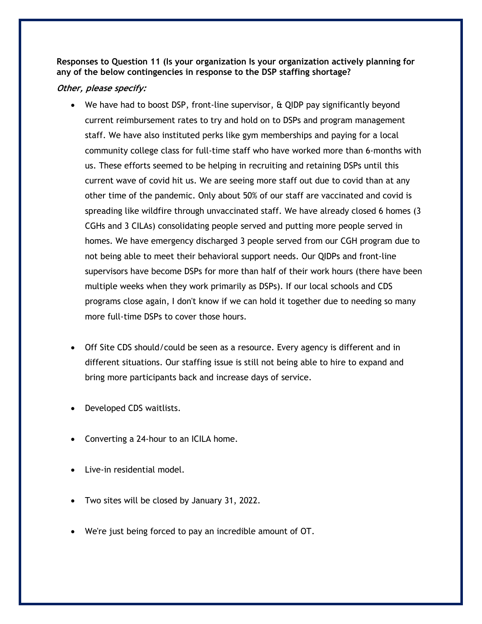**Responses to Question 11 (Is your organization Is your organization actively planning for any of the below contingencies in response to the DSP staffing shortage?**

#### **Other, please specify:**

- We have had to boost DSP, front-line supervisor, & QIDP pay significantly beyond current reimbursement rates to try and hold on to DSPs and program management staff. We have also instituted perks like gym memberships and paying for a local community college class for full-time staff who have worked more than 6-months with us. These efforts seemed to be helping in recruiting and retaining DSPs until this current wave of covid hit us. We are seeing more staff out due to covid than at any other time of the pandemic. Only about 50% of our staff are vaccinated and covid is spreading like wildfire through unvaccinated staff. We have already closed 6 homes (3 CGHs and 3 CILAs) consolidating people served and putting more people served in homes. We have emergency discharged 3 people served from our CGH program due to not being able to meet their behavioral support needs. Our QIDPs and front-line supervisors have become DSPs for more than half of their work hours (there have been multiple weeks when they work primarily as DSPs). If our local schools and CDS programs close again, I don't know if we can hold it together due to needing so many more full-time DSPs to cover those hours.
- Off Site CDS should/could be seen as a resource. Every agency is different and in different situations. Our staffing issue is still not being able to hire to expand and bring more participants back and increase days of service.
- Developed CDS waitlists.
- Converting a 24-hour to an ICILA home.
- Live-in residential model.
- Two sites will be closed by January 31, 2022.
- We're just being forced to pay an incredible amount of OT.